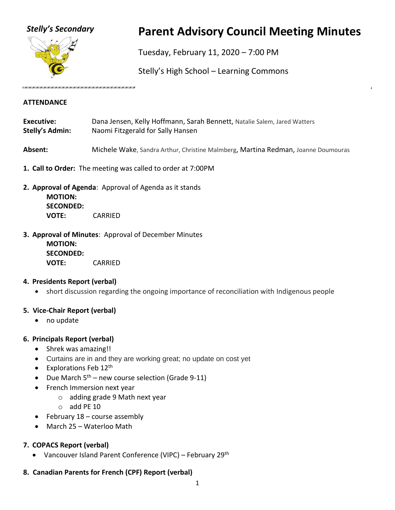

# *Stelly's Secondary* **Parent Advisory Council Meeting Minutes**

Tuesday, February 11, 2020 – 7:00 PM

Stelly's High School – Learning Commons

#### **ATTENDANCE**

| <b>Executive:</b> | Dana Jensen, Kelly Hoffmann, Sarah Bennett, Natalie Salem, Jared Watters |
|-------------------|--------------------------------------------------------------------------|
| Stelly's Admin:   | Naomi Fitzgerald for Sally Hansen                                        |

**Absent:** Michele Wake, Sandra Arthur, Christine Malmberg, Martina Redman, Joanne Doumouras

- **1. Call to Order:** The meeting was called to order at 7:00PM
- **2. Approval of Agenda**: Approval of Agenda as it stands **MOTION: SECONDED: VOTE:** CARRIED
- **3. Approval of Minutes**: Approval of December Minutes **MOTION: SECONDED: VOTE:** CARRIED

## **4. Presidents Report (verbal)**

• short discussion regarding the ongoing importance of reconciliation with Indigenous people

# **5. Vice-Chair Report (verbal)**

- no update
- **6. Principals Report (verbal)**
	- Shrek was amazing!!
	- Curtains are in and they are working great; no update on cost yet
	- Explorations Feb  $12<sup>th</sup>$
	- Due March  $5<sup>th</sup>$  new course selection (Grade 9-11)
	- French Immersion next year
		- o adding grade 9 Math next year
		- $\circ$  add PE 10
	- February  $18$  course assembly
	- March 25 Waterloo Math

# **7. COPACS Report (verbal)**

- Vancouver Island Parent Conference (VIPC) February 29<sup>th</sup>
- **8. Canadian Parents for French (CPF) Report (verbal)**